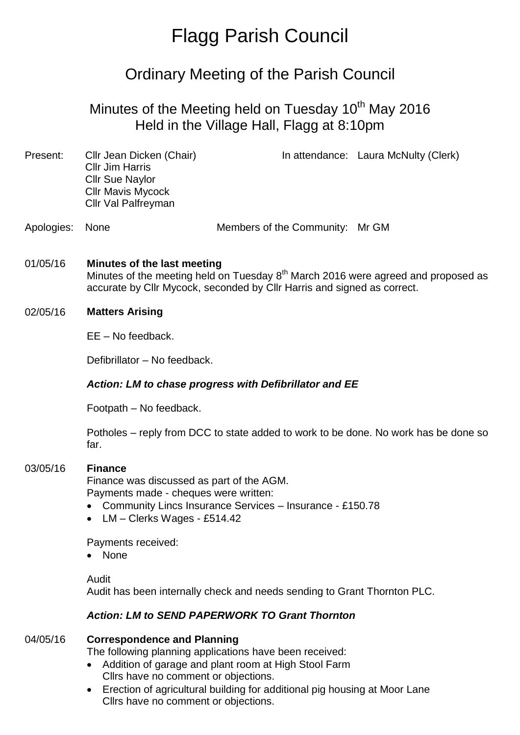# Flagg Parish Council

# Ordinary Meeting of the Parish Council

## Minutes of the Meeting held on Tuesday  $10<sup>th</sup>$  May 2016 Held in the Village Hall, Flagg at 8:10pm

| Present:   | Cllr Jean Dicken (Chair)<br><b>Cllr Jim Harris</b><br><b>Cllr Sue Naylor</b><br><b>Cllr Mavis Mycock</b><br>Cllr Val Palfreyman                                                                         |                                 | In attendance: Laura McNulty (Clerk) |
|------------|---------------------------------------------------------------------------------------------------------------------------------------------------------------------------------------------------------|---------------------------------|--------------------------------------|
| Apologies: | <b>None</b>                                                                                                                                                                                             | Members of the Community: Mr GM |                                      |
| 01/05/16   | Minutes of the last meeting<br>Minutes of the meeting held on Tuesday 8 <sup>th</sup> March 2016 were agreed and proposed as<br>accurate by Cllr Mycock, seconded by Cllr Harris and signed as correct. |                                 |                                      |
| 02/05/16   | <b>Matters Arising</b>                                                                                                                                                                                  |                                 |                                      |
|            | $EE - No feedback.$                                                                                                                                                                                     |                                 |                                      |
|            | Defibrillator - No feedback.                                                                                                                                                                            |                                 |                                      |
|            | Action: LM to chase progress with Defibrillator and EE                                                                                                                                                  |                                 |                                      |
|            | Footpath - No feedback.                                                                                                                                                                                 |                                 |                                      |
|            | Potholes - reply from DCC to state added to work to be done. No work has be done so<br>far.                                                                                                             |                                 |                                      |
| 03/05/16   | <b>Finance</b><br>Finance was discussed as part of the AGM.<br>Payments made - cheques were written:                                                                                                    |                                 |                                      |

- Community Lincs Insurance Services Insurance £150.78
- LM Clerks Wages £514.42

Payments received:

• None

#### Audit

Audit has been internally check and needs sending to Grant Thornton PLC.

#### *Action: LM to SEND PAPERWORK TO Grant Thornton*

#### 04/05/16 **Correspondence and Planning**

The following planning applications have been received:

- Addition of garage and plant room at High Stool Farm Cllrs have no comment or objections.
- Erection of agricultural building for additional pig housing at Moor Lane Cllrs have no comment or objections.